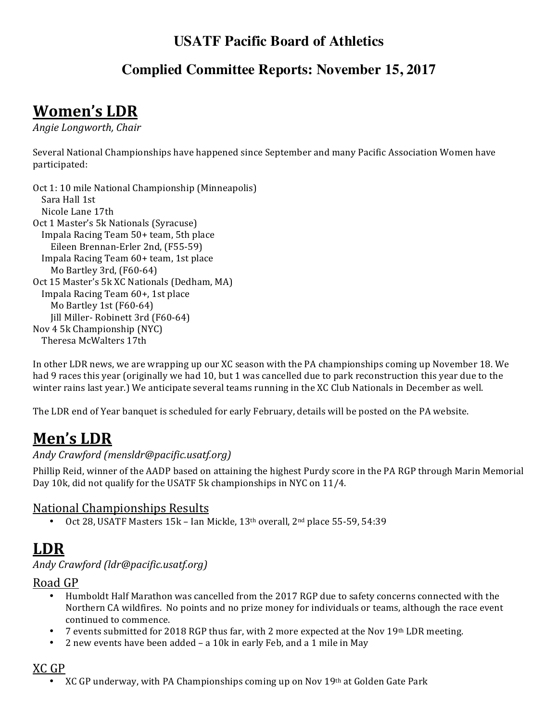## **USATF Pacific Board of Athletics**

### **Complied Committee Reports: November 15, 2017**

# **Women's LDR**

*Angie Longworth, Chair*

Several National Championships have happened since September and many Pacific Association Women have participated:

```
Oct 1: 10 mile National Championship (Minneapolis)
 Sara Hall 1st
 	Nicole	Lane	17th
Oct 1 Master's 5k Nationals (Syracuse)
 Impala Racing Team 50+ team, 5th place
    Eileen Brennan-Erler 2nd, (F55-59)
 Impala Racing Team 60+ team, 1st place
   Mo Bartley 3rd, (F60-64)
Oct 15 Master's 5k XC Nationals (Dedham, MA)
 	Impala	Racing	Team	60+,	1st	place
   Mo Bartley 1st (F60-64)
   Jill Miller- Robinett 3rd (F60-64)
Nov 4 5k Championship (NYC)
 	Theresa	McWalters	17th
```
In other LDR news, we are wrapping up our XC season with the PA championships coming up November 18. We had 9 races this year (originally we had 10, but 1 was cancelled due to park reconstruction this year due to the winter rains last year.) We anticipate several teams running in the XC Club Nationals in December as well.

The LDR end of Year banquet is scheduled for early February, details will be posted on the PA website.

# Men's LDR

### *Andy Crawford (mensldr@pacific.usatf.org)*

Phillip Reid, winner of the AADP based on attaining the highest Purdy score in the PA RGP through Marin Memorial Day 10k, did not qualify for the USATF 5k championships in NYC on 11/4.

#### National Championships Results

Oct 28, USATF Masters 15k - Ian Mickle, 13<sup>th</sup> overall, 2<sup>nd</sup> place 55-59, 54:39

## **LDR**

#### *Andy Crawford (ldr@pacific.usatf.org)*

Road GP

- Humboldt Half Marathon was cancelled from the 2017 RGP due to safety concerns connected with the Northern CA wildfires. No points and no prize money for individuals or teams, although the race event continued to commence.
- 7 events submitted for 2018 RGP thus far, with 2 more expected at the Nov 19th LDR meeting.
- 2 new events have been added a 10k in early Feb, and a 1 mile in May

### XC GP

XC GP underway, with PA Championships coming up on Nov 19th at Golden Gate Park